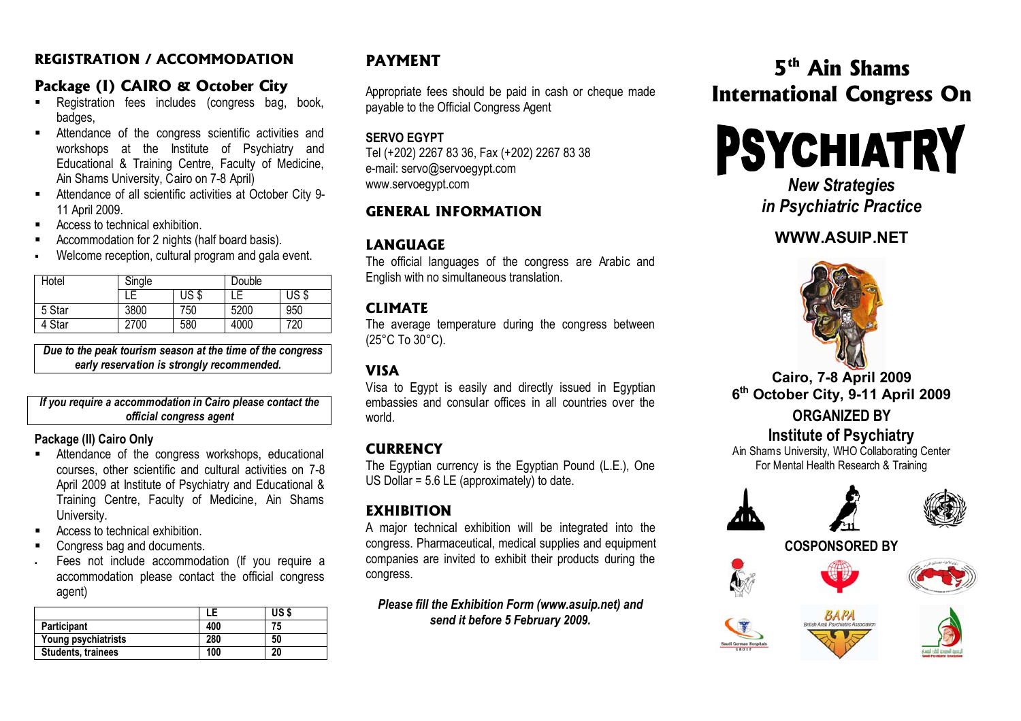#### **REGISTRATION / ACCOMMODATION**

# **Package (I) CAIRO & October City**

- Registration fees includes (congress bag, book, badges,
- Attendance of the congress scientific activities and workshops at the Institute of Psychiatry and Educational & Training Centre, Faculty of Medicine, Ain Shams University, Cairo on 7-8 April)
- $\blacksquare$  Attendance of all scientific activities at October City 9- 11 April 2009.
- $\blacksquare$ Access to technical exhibition.
- Accommodation for 2 nights (half board basis).
- H Welcome reception, cultural program and gala event.

| Hotel  | Single |       | Double |       |
|--------|--------|-------|--------|-------|
|        |        | US \$ |        | US \$ |
| 5 Star | 3800   | 750   | 5200   | 950   |
| 4 Star | 2700   | 580   | 4000   | 720   |

*Due to the peak tourism season at the time of the congress early reservation is strongly recommended.*

*If you require a accommodation in Cairo please contact the official congress agent* 

#### **Package (II) Cairo Only**

- Attendance of the congress workshops, educational courses, other scientific and cultural activities on 7-8 April 2009 at Institute of Psychiatry and Educational & Training Centre, Faculty of Medicine, Ain Shams University.
- Access to technical exhibition.
- Congress bag and documents.
- Fees not include accommodation (If you require a accommodation please contact the official congress agent)

|                           |     | US \$ |
|---------------------------|-----|-------|
| Participant               | 400 |       |
| Young psychiatrists       | 280 | 50    |
| <b>Students, trainees</b> | 100 | 20    |

# **PAYMENT**

Appropriate fees should be paid in cash or cheque made payable to the Official Congress Agent

#### **SERVO EGYPT**

Tel (+202) 2267 83 36, Fax (+202) 2267 83 38 e-mail: servo@servoegypt.com www.servoegypt.com

# **GENERAL INFORMATION**

# **LANGUAGE**

The official languages of the congress are Arabic and English with no simultaneous translation.

### **CLIMATE**

The average temperature during the congress between (25°C To 30°C).

# **VISA**

Visa to Egypt is easily and directly issued in Egyptian embassies and consular offices in all countries over the world.

# **CURRENCY**

The Egyptian currency is the Egyptian Pound (L.E.), One US Dollar = 5.6 LE (approximately) to date.

## **EXHIBITION**

A major technical exhibition will be integrated into the congress. Pharmaceutical, medical supplies and equipment companies are invited to exhibit their products during the congress.

*Please fill the Exhibition Form (www.asuip.net) and send it before 5 February 2009.* 

# **5th Ain Shams International Congress On**

# **PSYCHIATRY**

*New Strategies in Psychiatric Practice* 

# **WWW.ASUIP.NET**



#### **Cairo, 7-8 April 2009 <sup>6</sup>th October City, 9-11 April 2009**

# **ORGANIZED BY**

# **Institute of Psychiatry**

Ain Shams University, WHO Collaborating Center For Mental Health Research & Training